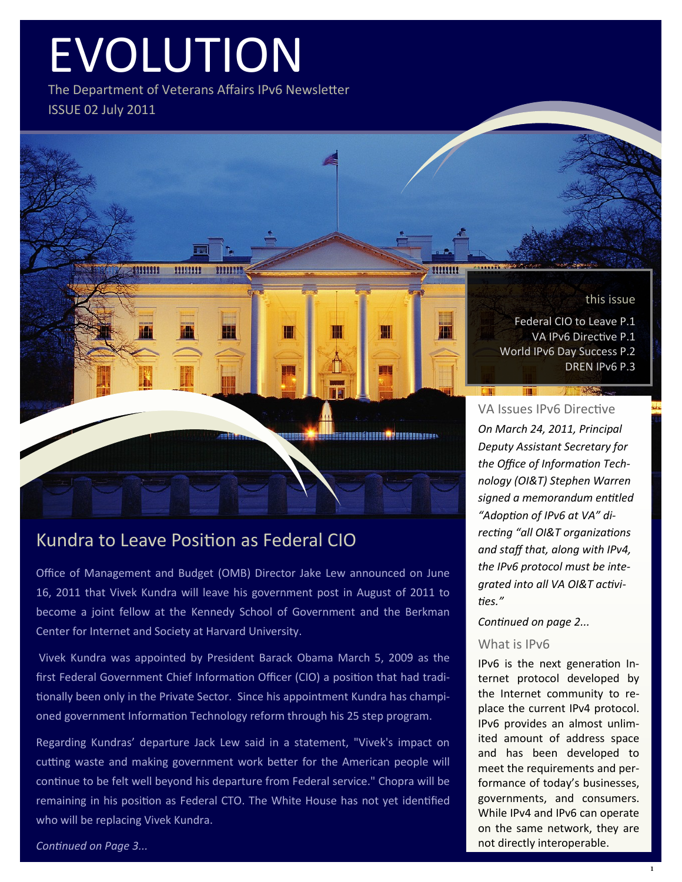# EVOLUTION

The Department of Veterans Affairs IPv6 Newsletter ISSUE 02 July 2011

mm

₩

**UTHER!** 

11111111

-4000000



Federal CIO to Leave P.1 VA IPv6 Directive P.1 World IPv6 Day Success P.2 DREN IPv6 P.3

## VA Issues IPv6 Directive

11111111

₩

**CONFIDENTIAL AND INTERNATIONAL PROPERTY AND INCOME.** 

*On March 24, 2011, Principal Deputy Assistant Secretary for the Office of Information Technology (OI&T) Stephen Warren signed a memorandum entitled "Adoption of IPv6 at VA" directing "all OI&T organizations and staff that, along with IPv4, the IPv6 protocol must be integrated into all VA OI&T activities."* 

#### *Continued on page 2...*

#### What is IPv6

IPv6 is the next generation Internet protocol developed by the Internet community to replace the current IPv4 protocol. IPv6 provides an almost unlimited amount of address space and has been developed to meet the requirements and performance of today's businesses, governments, and consumers. While IPv4 and IPv6 can operate on the same network, they are not directly interoperable.

## Kundra to Leave Position as Federal CIO

Office of Management and Budget (OMB) Director Jake Lew announced on June 16, 2011 that Vivek Kundra will leave his government post in August of 2011 to become a joint fellow at the Kennedy School of Government and the Berkman Center for Internet and Society at Harvard University.

Vivek Kundra was appointed by President Barack Obama March 5, 2009 as the first Federal Government Chief Information Officer (CIO) a position that had traditionally been only in the Private Sector. Since his appointment Kundra has championed government Information Technology reform through his 25 step program.

Regarding Kundras' departure Jack Lew said in a statement, "Vivek's impact on cutting waste and making government work better for the American people will continue to be felt well beyond his departure from Federal service." Chopra will be remaining in his position as Federal CTO. The White House has not yet identified who will be replacing Vivek Kundra.

#### *Continued on Page 3...*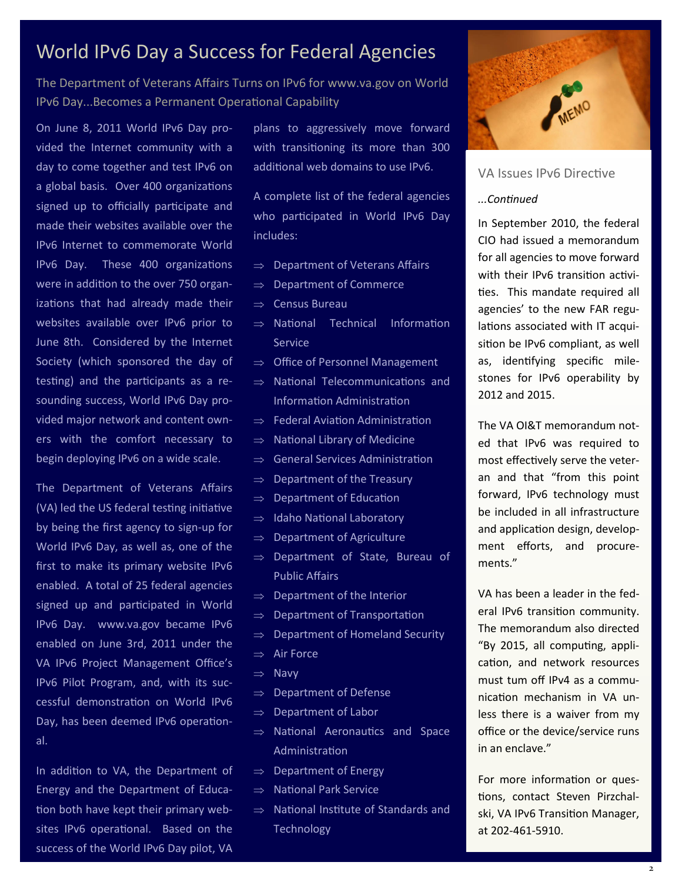## World IPv6 Day a Success for Federal Agencies

The Department of Veterans Affairs Turns on IPv6 for www.va.gov on World IPv6 Day...Becomes a Permanent Operational Capability

On June 8, 2011 World IPv6 Day provided the Internet community with a day to come together and test IPv6 on a global basis. Over 400 organizations signed up to officially participate and made their websites available over the IPv6 Internet to commemorate World IPv6 Day. These 400 organizations were in addition to the over 750 organizations that had already made their websites available over IPv6 prior to June 8th. Considered by the Internet Society (which sponsored the day of testing) and the participants as a resounding success, World IPv6 Day provided major network and content owners with the comfort necessary to begin deploying IPv6 on a wide scale.

The Department of Veterans Affairs (VA) led the US federal testing initiative by being the first agency to sign-up for World IPv6 Day, as well as, one of the first to make its primary website IPv6 enabled. A total of 25 federal agencies signed up and participated in World IPv6 Day. www.va.gov became IPv6 enabled on June 3rd, 2011 under the VA IPv6 Project Management Office's IPv6 Pilot Program, and, with its successful demonstration on World IPv6 Day, has been deemed IPv6 operational.

In addition to VA, the Department of Energy and the Department of Education both have kept their primary websites IPv6 operational. Based on the success of the World IPv6 Day pilot, VA

plans to aggressively move forward with transitioning its more than 300 additional web domains to use IPv6.

A complete list of the federal agencies who participated in World IPv6 Day includes:

- $\Rightarrow$  Department of Veterans Affairs
- $\Rightarrow$  Department of Commerce
- $\Rightarrow$  Census Bureau
- $\Rightarrow$  National Technical Information Service
- $\Rightarrow$  Office of Personnel Management
- $\Rightarrow$  National Telecommunications and Information Administration
- $\Rightarrow$  Federal Aviation Administration
- $\Rightarrow$  National Library of Medicine
- $\Rightarrow$  General Services Administration
- $\Rightarrow$  Department of the Treasury
- $\Rightarrow$  Department of Education
- $\Rightarrow$  Idaho National Laboratory
- $\Rightarrow$  Department of Agriculture
- $\Rightarrow$  Department of State, Bureau of Public Affairs
- $\Rightarrow$  Department of the Interior
- $\Rightarrow$  Department of Transportation
- $\Rightarrow$  Department of Homeland Security
- $\Rightarrow$  Air Force
- $\Rightarrow$  Navy
- $\Rightarrow$  Department of Defense
- $\Rightarrow$  Department of Labor
- $\Rightarrow$  National Aeronautics and Space Administration
- $\Rightarrow$  Department of Energy
- $\Rightarrow$  National Park Service
- $\Rightarrow$  National Institute of Standards and **Technology**



## VA Issues IPv6 Directive

### *...Continued*

In September 2010, the federal CIO had issued a memorandum for all agencies to move forward with their IPv6 transition activities. This mandate required all agencies' to the new FAR regulations associated with IT acquisition be IPv6 compliant, as well as, identifying specific milestones for IPv6 operability by 2012 and 2015.

The VA OI&T memorandum noted that IPv6 was required to most effectively serve the veteran and that "from this point forward, IPv6 technology must be included in all infrastructure and application design, development efforts, and procurements."

VA has been a leader in the federal IPv6 transition community. The memorandum also directed "By 2015, all computing, application, and network resources must tum off IPv4 as a communication mechanism in VA unless there is a waiver from my office or the device/service runs in an enclave."

For more information or questions, contact Steven Pirzchalski, VA IPv6 Transition Manager, at 202-461-5910.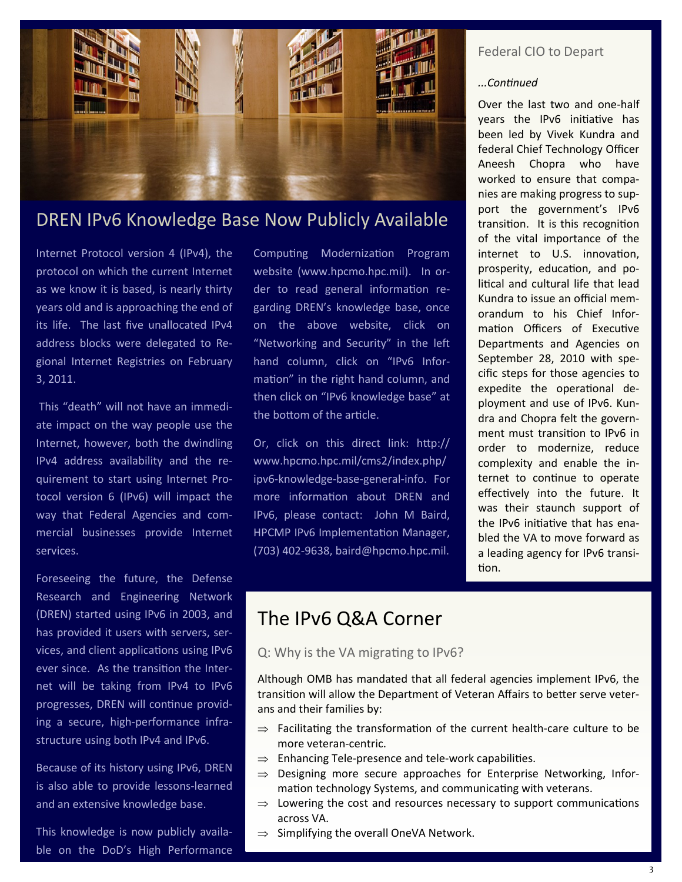

## DREN IPv6 Knowledge Base Now Publicly Available

Internet Protocol version 4 (IPv4), the protocol on which the current Internet as we know it is based, is nearly thirty years old and is approaching the end of its life. The last five unallocated IPv4 address blocks were delegated to Regional Internet Registries on February 3, 2011.

This "death" will not have an immediate impact on the way people use the Internet, however, both the dwindling IPv4 address availability and the requirement to start using Internet Protocol version 6 (IPv6) will impact the way that Federal Agencies and commercial businesses provide Internet services.

Foreseeing the future, the Defense Research and Engineering Network (DREN) started using IPv6 in 2003, and has provided it users with servers, services, and client applications using IPv6 ever since. As the transition the Internet will be taking from IPv4 to IPv6 progresses, DREN will continue providing a secure, high-performance infrastructure using both IPv4 and IPv6.

Because of its history using IPv6, DREN is also able to provide lessons-learned and an extensive knowledge base.

This knowledge is now publicly available on the DoD's High Performance

Computing Modernization Program website (www.hpcmo.hpc.mil). In order to read general information regarding DREN's knowledge base, once on the above website, click on "Networking and Security" in the left hand column, click on "IPv6 Information" in the right hand column, and then click on "IPv6 knowledge base" at the bottom of the article.

Or, click on this direct link: http:// www.hpcmo.hpc.mil/cms2/index.php/ ipv6-knowledge-base-general-info. For more information about DREN and IPv6, please contact: John M Baird, HPCMP IPv6 Implementation Manager, (703) 402-9638, baird@hpcmo.hpc.mil.

## Federal CIO to Depart

#### *...Continued*

Over the last two and one-half years the IPv6 initiative has been led by Vivek Kundra and federal Chief Technology Officer Aneesh Chopra who have worked to ensure that companies are making progress to support the government's IPv6 transition. It is this recognition of the vital importance of the internet to U.S. innovation, prosperity, education, and political and cultural life that lead Kundra to issue an official memorandum to his Chief Information Officers of Executive Departments and Agencies on September 28, 2010 with specific steps for those agencies to expedite the operational deployment and use of IPv6. Kundra and Chopra felt the government must transition to IPv6 in order to modernize, reduce complexity and enable the internet to continue to operate effectively into the future. It was their staunch support of the IPv6 initiative that has enabled the VA to move forward as a leading agency for IPv6 transition.

## The IPv6 Q&A Corner

## Q: Why is the VA migrating to IPv6?

Although OMB has mandated that all federal agencies implement IPv6, the transition will allow the Department of Veteran Affairs to better serve veterans and their families by:

- $\Rightarrow$  Facilitating the transformation of the current health-care culture to be more veteran-centric.
- $\Rightarrow$  Enhancing Tele-presence and tele-work capabilities.
- $\Rightarrow$  Designing more secure approaches for Enterprise Networking, Information technology Systems, and communicating with veterans.
- $\Rightarrow$  Lowering the cost and resources necessary to support communications across VA.
- $\Rightarrow$  Simplifying the overall OneVA Network.